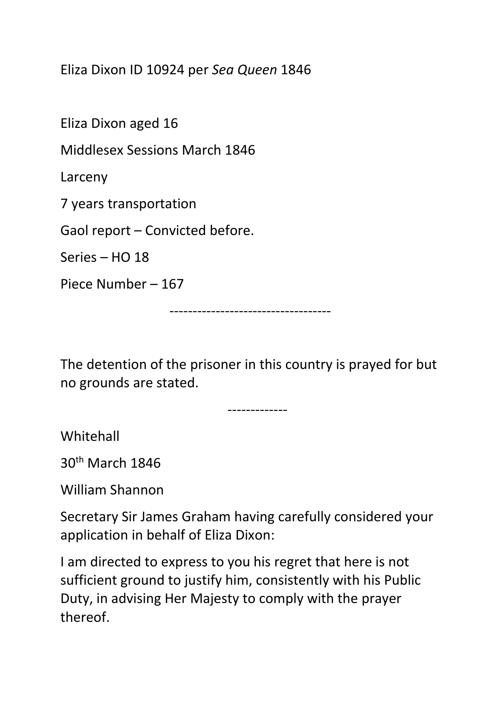Eliza Dixon ID 10924 per *Sea Queen* 1846

Eliza Dixon aged 16

Middlesex Sessions March 1846

Larceny

7 years transportation

Gaol report – Convicted before.

Series – HO 18

Piece Number – 167

-----------------------------------

The detention of the prisoner in this country is prayed for but no grounds are stated.

-------------

Whitehall

30th March 1846

William Shannon

Secretary Sir James Graham having carefully considered your application in behalf of Eliza Dixon:

I am directed to express to you his regret that here is not sufficient ground to justify him, consistently with his Public Duty, in advising Her Majesty to comply with the prayer thereof.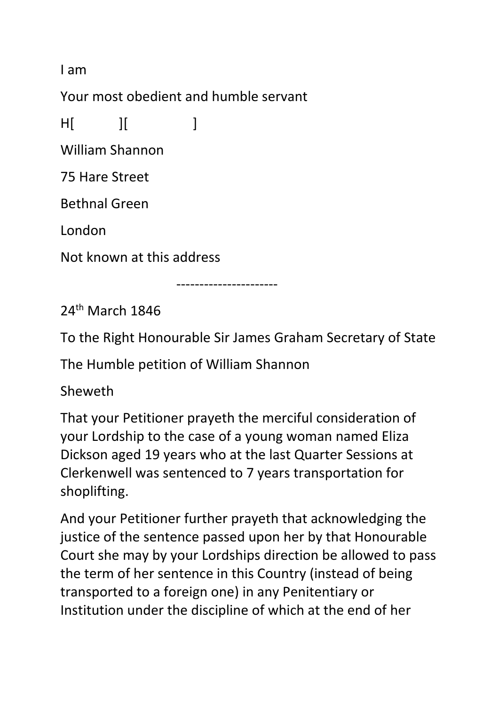I am

Your most obedient and humble servant

H[ ][ ]

William Shannon

75 Hare Street

Bethnal Green

London

Not known at this address

----------------------

24th March 1846

To the Right Honourable Sir James Graham Secretary of State

The Humble petition of William Shannon

Sheweth

That your Petitioner prayeth the merciful consideration of your Lordship to the case of a young woman named Eliza Dickson aged 19 years who at the last Quarter Sessions at Clerkenwell was sentenced to 7 years transportation for shoplifting.

And your Petitioner further prayeth that acknowledging the justice of the sentence passed upon her by that Honourable Court she may by your Lordships direction be allowed to pass the term of her sentence in this Country (instead of being transported to a foreign one) in any Penitentiary or Institution under the discipline of which at the end of her